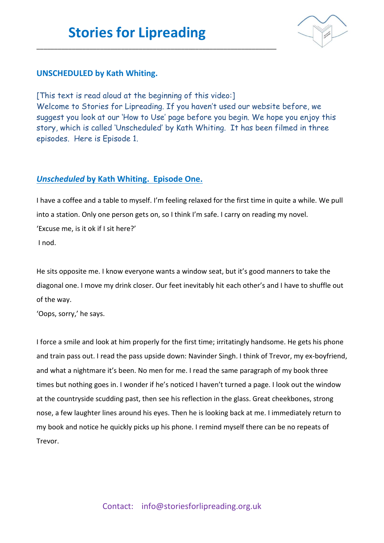\_\_\_\_\_\_\_\_\_\_\_\_\_\_\_\_\_\_\_\_\_\_\_\_\_\_\_\_\_\_\_\_\_\_\_\_\_\_\_\_\_\_\_\_\_\_\_\_\_\_\_\_\_\_\_\_\_\_\_\_\_\_\_\_\_\_\_\_



### **UNSCHEDULED by Kath Whiting.**

[This text is read aloud at the beginning of this video:] Welcome to Stories for Lipreading. If you haven't used our website before, we suggest you look at our 'How to Use' page before you begin. We hope you enjoy this story, which is called 'Unscheduled' by Kath Whiting. It has been filmed in three episodes. Here is Episode 1.

### *Unscheduled* **by Kath Whiting. Episode One.**

I have a coffee and a table to myself. I'm feeling relaxed for the first time in quite a while. We pull into a station. Only one person gets on, so I think I'm safe. I carry on reading my novel. 'Excuse me, is it ok if I sit here?' I nod.

He sits opposite me. I know everyone wants a window seat, but it's good manners to take the diagonal one. I move my drink closer. Our feet inevitably hit each other's and I have to shuffle out of the way.

'Oops, sorry,' he says.

I force a smile and look at him properly for the first time; irritatingly handsome. He gets his phone and train pass out. I read the pass upside down: Navinder Singh. I think of Trevor, my ex-boyfriend, and what a nightmare it's been. No men for me. I read the same paragraph of my book three times but nothing goes in. I wonder if he's noticed I haven't turned a page. I look out the window at the countryside scudding past, then see his reflection in the glass. Great cheekbones, strong nose, a few laughter lines around his eyes. Then he is looking back at me. I immediately return to my book and notice he quickly picks up his phone. I remind myself there can be no repeats of Trevor.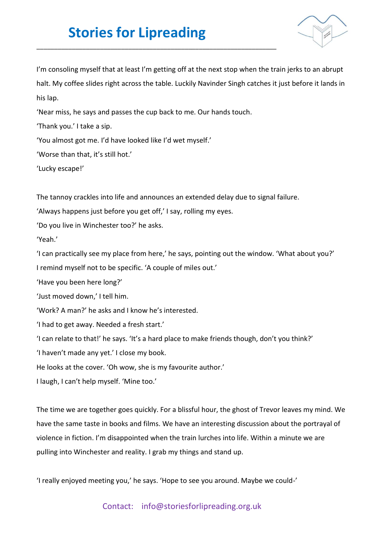### **Stories for Lipreading**

\_\_\_\_\_\_\_\_\_\_\_\_\_\_\_\_\_\_\_\_\_\_\_\_\_\_\_\_\_\_\_\_\_\_\_\_\_\_\_\_\_\_\_\_\_\_\_\_\_\_\_\_\_\_\_\_\_\_\_\_\_\_\_\_\_\_\_\_



I'm consoling myself that at least I'm getting off at the next stop when the train jerks to an abrupt halt. My coffee slides right across the table. Luckily Navinder Singh catches it just before it lands in his lap.

'Near miss, he says and passes the cup back to me. Our hands touch.

'Thank you.' I take a sip.

'You almost got me. I'd have looked like I'd wet myself.'

'Worse than that, it's still hot.'

'Lucky escape!'

The tannoy crackles into life and announces an extended delay due to signal failure.

'Always happens just before you get off,' I say, rolling my eyes.

'Do you live in Winchester too?' he asks.

'Yeah.'

'I can practically see my place from here,' he says, pointing out the window. 'What about you?' I remind myself not to be specific. 'A couple of miles out.'

'Have you been here long?'

'Just moved down,' I tell him.

'Work? A man?' he asks and I know he's interested.

'I had to get away. Needed a fresh start.'

'I can relate to that!' he says. 'It's a hard place to make friends though, don't you think?'

'I haven't made any yet.' I close my book.

He looks at the cover. 'Oh wow, she is my favourite author.'

I laugh, I can't help myself. 'Mine too.'

The time we are together goes quickly. For a blissful hour, the ghost of Trevor leaves my mind. We have the same taste in books and films. We have an interesting discussion about the portrayal of violence in fiction. I'm disappointed when the train lurches into life. Within a minute we are pulling into Winchester and reality. I grab my things and stand up.

'I really enjoyed meeting you,' he says. 'Hope to see you around. Maybe we could-'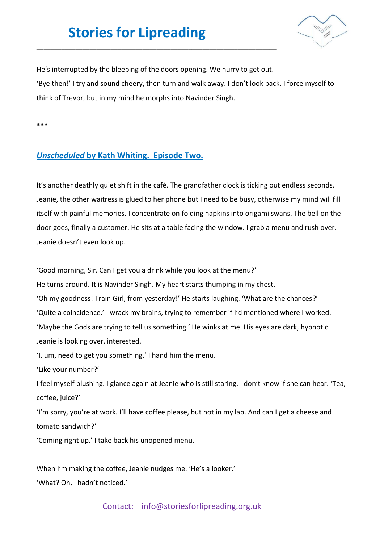# **Stories for Lipreading**

\_\_\_\_\_\_\_\_\_\_\_\_\_\_\_\_\_\_\_\_\_\_\_\_\_\_\_\_\_\_\_\_\_\_\_\_\_\_\_\_\_\_\_\_\_\_\_\_\_\_\_\_\_\_\_\_\_\_\_\_\_\_\_\_\_\_\_\_



He's interrupted by the bleeping of the doors opening. We hurry to get out. 'Bye then!' I try and sound cheery, then turn and walk away. I don't look back. I force myself to think of Trevor, but in my mind he morphs into Navinder Singh.

\*\*\*

### *Unscheduled* **by Kath Whiting. Episode Two.**

It's another deathly quiet shift in the café. The grandfather clock is ticking out endless seconds. Jeanie, the other waitress is glued to her phone but I need to be busy, otherwise my mind will fill itself with painful memories. I concentrate on folding napkins into origami swans. The bell on the door goes, finally a customer. He sits at a table facing the window. I grab a menu and rush over. Jeanie doesn't even look up.

'Good morning, Sir. Can I get you a drink while you look at the menu?'

He turns around. It is Navinder Singh. My heart starts thumping in my chest.

'Oh my goodness! Train Girl, from yesterday!' He starts laughing. 'What are the chances?'

'Quite a coincidence.' I wrack my brains, trying to remember if I'd mentioned where I worked.

'Maybe the Gods are trying to tell us something.' He winks at me. His eyes are dark, hypnotic.

Jeanie is looking over, interested.

'I, um, need to get you something.' I hand him the menu.

'Like your number?'

I feel myself blushing. I glance again at Jeanie who is still staring. I don't know if she can hear. 'Tea, coffee, juice?'

'I'm sorry, you're at work. I'll have coffee please, but not in my lap. And can I get a cheese and tomato sandwich?'

'Coming right up.' I take back his unopened menu.

When I'm making the coffee, Jeanie nudges me. 'He's a looker.' 'What? Oh, I hadn't noticed.'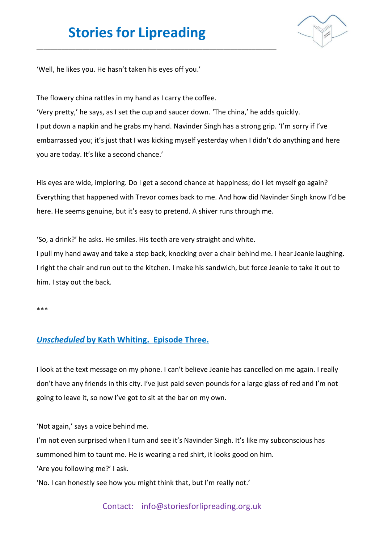# **Stories for Lipreading**

\_\_\_\_\_\_\_\_\_\_\_\_\_\_\_\_\_\_\_\_\_\_\_\_\_\_\_\_\_\_\_\_\_\_\_\_\_\_\_\_\_\_\_\_\_\_\_\_\_\_\_\_\_\_\_\_\_\_\_\_\_\_\_\_\_\_\_\_



'Well, he likes you. He hasn't taken his eyes off you.'

The flowery china rattles in my hand as I carry the coffee.

'Very pretty,' he says, as I set the cup and saucer down. 'The china,' he adds quickly. I put down a napkin and he grabs my hand. Navinder Singh has a strong grip. 'I'm sorry if I've embarrassed you; it's just that I was kicking myself yesterday when I didn't do anything and here you are today. It's like a second chance.'

His eyes are wide, imploring. Do I get a second chance at happiness; do I let myself go again? Everything that happened with Trevor comes back to me. And how did Navinder Singh know I'd be here. He seems genuine, but it's easy to pretend. A shiver runs through me.

'So, a drink?' he asks. He smiles. His teeth are very straight and white.

I pull my hand away and take a step back, knocking over a chair behind me. I hear Jeanie laughing. I right the chair and run out to the kitchen. I make his sandwich, but force Jeanie to take it out to him. I stay out the back.

\*\*\*

#### *Unscheduled* **by Kath Whiting. Episode Three.**

I look at the text message on my phone. I can't believe Jeanie has cancelled on me again. I really don't have any friends in this city. I've just paid seven pounds for a large glass of red and I'm not going to leave it, so now I've got to sit at the bar on my own.

'Not again,' says a voice behind me.

I'm not even surprised when I turn and see it's Navinder Singh. It's like my subconscious has summoned him to taunt me. He is wearing a red shirt, it looks good on him.

'Are you following me?' I ask.

'No. I can honestly see how you might think that, but I'm really not.'